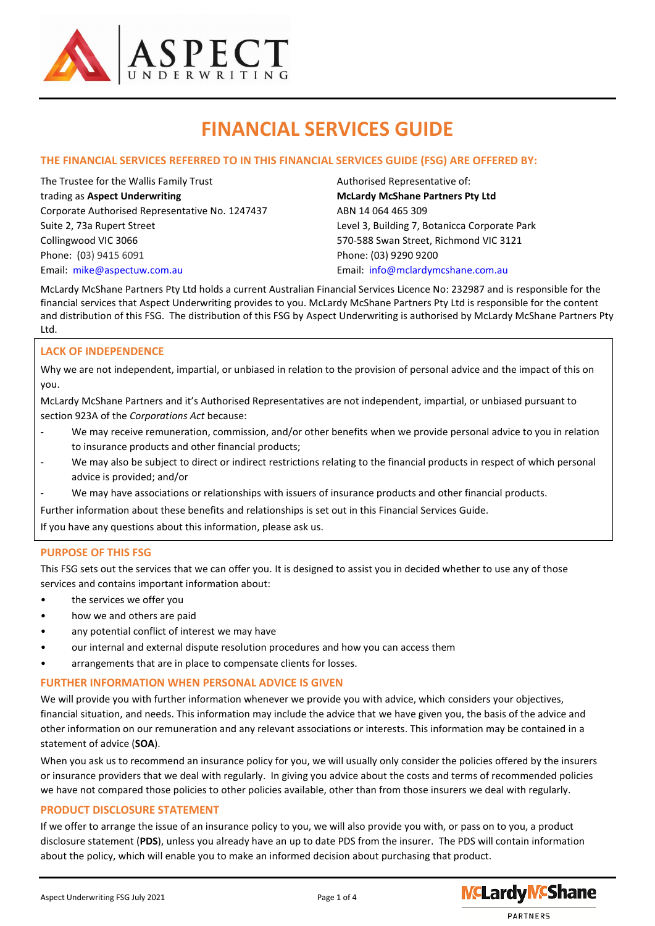

# **FINANCIAL SERVICES GUIDE**

# **THE FINANCIAL SERVICES REFERRED TO IN THIS FINANCIAL SERVICES GUIDE (FSG) ARE OFFERED BY:**

The Trustee for the Wallis Family Trust Authorised Representative of: trading as **Aspect Underwriting McLardy McShane Partners Pty Ltd** Corporate Authorised Representative No. 1247437 ABN 14 064 465 309 Suite 2, 73a Rupert Street Level 3, Building 7, Botanicca Corporate Park Collingwood VIC 3066 570-588 Swan Street, Richmond VIC 3121 Phone: (03) [9415](tel:+61%203%209415%206091) 6091 Phone: (03) 9290 9200 Email: [mike@aspectuw.com.au](mailto:mike@aspectuw.com.au) Email: [info@mclardymcshane.com.au](mailto:info@mclardymcshane.com.au)

McLardy McShane Partners Pty Ltd holds a current Australian Financial Services Licence No: 232987 and is responsible for the financial services that Aspect Underwriting provides to you. McLardy McShane Partners Pty Ltd is responsible for the content and distribution of this FSG. The distribution of this FSG by Aspect Underwriting is authorised by McLardy McShane Partners Pty Ltd.

# **LACK OF INDEPENDENCE**

Why we are not independent, impartial, or unbiased in relation to the provision of personal advice and the impact of this on you.

McLardy McShane Partners and it's Authorised Representatives are not independent, impartial, or unbiased pursuant to section 923A of the *Corporations Act* because:

- We may receive remuneration, commission, and/or other benefits when we provide personal advice to you in relation to insurance products and other financial products;
- We may also be subject to direct or indirect restrictions relating to the financial products in respect of which personal advice is provided; and/or
- We may have associations or relationships with issuers of insurance products and other financial products.

Further information about these benefits and relationships is set out in this Financial Services Guide.

If you have any questions about this information, please ask us.

#### **PURPOSE OF THIS FSG**

This FSG sets out the services that we can offer you. It is designed to assist you in decided whether to use any of those services and contains important information about:

- the services we offer you
- how we and others are paid
- any potential conflict of interest we may have
- our internal and external dispute resolution procedures and how you can access them
- arrangements that are in place to compensate clients for losses.

#### **FURTHER INFORMATION WHEN PERSONAL ADVICE IS GIVEN**

We will provide you with further information whenever we provide you with advice, which considers your objectives, financial situation, and needs. This information may include the advice that we have given you, the basis of the advice and other information on our remuneration and any relevant associations or interests. This information may be contained in a statement of advice (**SOA**).

When you ask us to recommend an insurance policy for you, we will usually only consider the policies offered by the insurers or insurance providers that we deal with regularly. In giving you advice about the costs and terms of recommended policies we have not compared those policies to other policies available, other than from those insurers we deal with regularly.

#### **PRODUCT DISCLOSURE STATEMENT**

If we offer to arrange the issue of an insurance policy to you, we will also provide you with, or pass on to you, a product disclosure statement (**PDS**), unless you already have an up to date PDS from the insurer. The PDS will contain information about the policy, which will enable you to make an informed decision about purchasing that product.

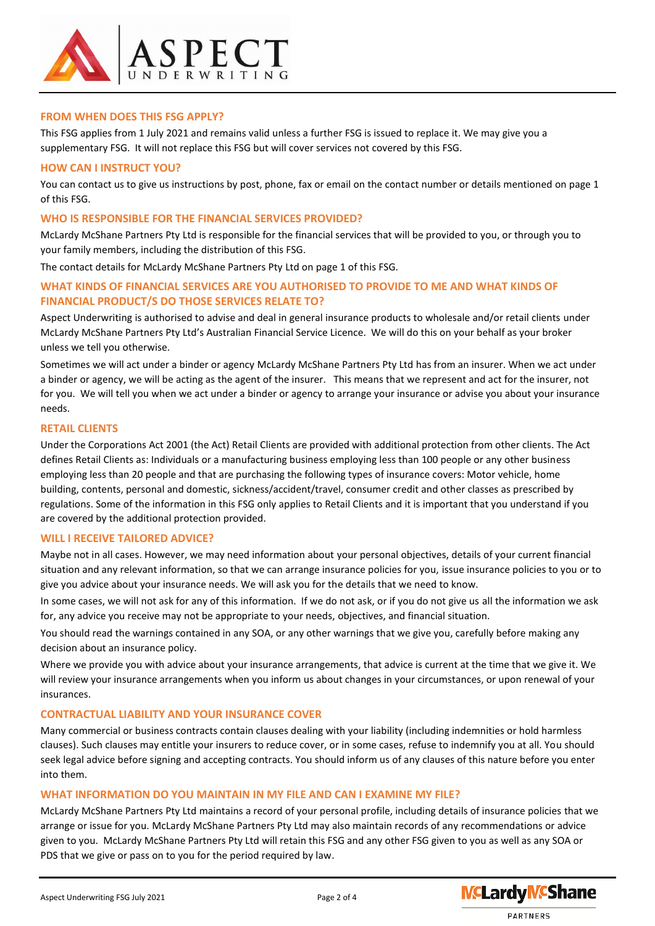

#### **FROM WHEN DOES THIS FSG APPLY?**

This FSG applies from 1 July 2021 and remains valid unless a further FSG is issued to replace it. We may give you a supplementary FSG. It will not replace this FSG but will cover services not covered by this FSG.

#### **HOW CAN I INSTRUCT YOU?**

You can contact us to give us instructions by post, phone, fax or email on the contact number or details mentioned on page 1 of this FSG.

#### **WHO IS RESPONSIBLE FOR THE FINANCIAL SERVICES PROVIDED?**

McLardy McShane Partners Pty Ltd is responsible for the financial services that will be provided to you, or through you to your family members, including the distribution of this FSG.

The contact details for McLardy McShane Partners Pty Ltd on page 1 of this FSG.

# **WHAT KINDS OF FINANCIAL SERVICES ARE YOU AUTHORISED TO PROVIDE TO ME AND WHAT KINDS OF FINANCIAL PRODUCT/S DO THOSE SERVICES RELATE TO?**

Aspect Underwriting is authorised to advise and deal in general insurance products to wholesale and/or retail clients under McLardy McShane Partners Pty Ltd's Australian Financial Service Licence. We will do this on your behalf as your broker unless we tell you otherwise.

Sometimes we will act under a binder or agency McLardy McShane Partners Pty Ltd has from an insurer. When we act under a binder or agency, we will be acting as the agent of the insurer. This means that we represent and act for the insurer, not for you. We will tell you when we act under a binder or agency to arrange your insurance or advise you about your insurance needs.

#### **RETAIL CLIENTS**

Under the Corporations Act 2001 (the Act) Retail Clients are provided with additional protection from other clients. The Act defines Retail Clients as: Individuals or a manufacturing business employing less than 100 people or any other business employing less than 20 people and that are purchasing the following types of insurance covers: Motor vehicle, home building, contents, personal and domestic, sickness/accident/travel, consumer credit and other classes as prescribed by regulations. Some of the information in this FSG only applies to Retail Clients and it is important that you understand if you are covered by the additional protection provided.

#### **WILL I RECEIVE TAILORED ADVICE?**

Maybe not in all cases. However, we may need information about your personal objectives, details of your current financial situation and any relevant information, so that we can arrange insurance policies for you, issue insurance policies to you or to give you advice about your insurance needs. We will ask you for the details that we need to know.

In some cases, we will not ask for any of this information. If we do not ask, or if you do not give us all the information we ask for, any advice you receive may not be appropriate to your needs, objectives, and financial situation.

You should read the warnings contained in any SOA, or any other warnings that we give you, carefully before making any decision about an insurance policy.

Where we provide you with advice about your insurance arrangements, that advice is current at the time that we give it. We will review your insurance arrangements when you inform us about changes in your circumstances, or upon renewal of your insurances.

#### **CONTRACTUAL LIABILITY AND YOUR INSURANCE COVER**

Many commercial or business contracts contain clauses dealing with your liability (including indemnities or hold harmless clauses). Such clauses may entitle your insurers to reduce cover, or in some cases, refuse to indemnify you at all. You should seek legal advice before signing and accepting contracts. You should inform us of any clauses of this nature before you enter into them.

#### **WHAT INFORMATION DO YOU MAINTAIN IN MY FILE AND CAN I EXAMINE MY FILE?**

McLardy McShane Partners Pty Ltd maintains a record of your personal profile, including details of insurance policies that we arrange or issue for you. McLardy McShane Partners Pty Ltd may also maintain records of any recommendations or advice given to you. McLardy McShane Partners Pty Ltd will retain this FSG and any other FSG given to you as well as any SOA or PDS that we give or pass on to you for the period required by law.

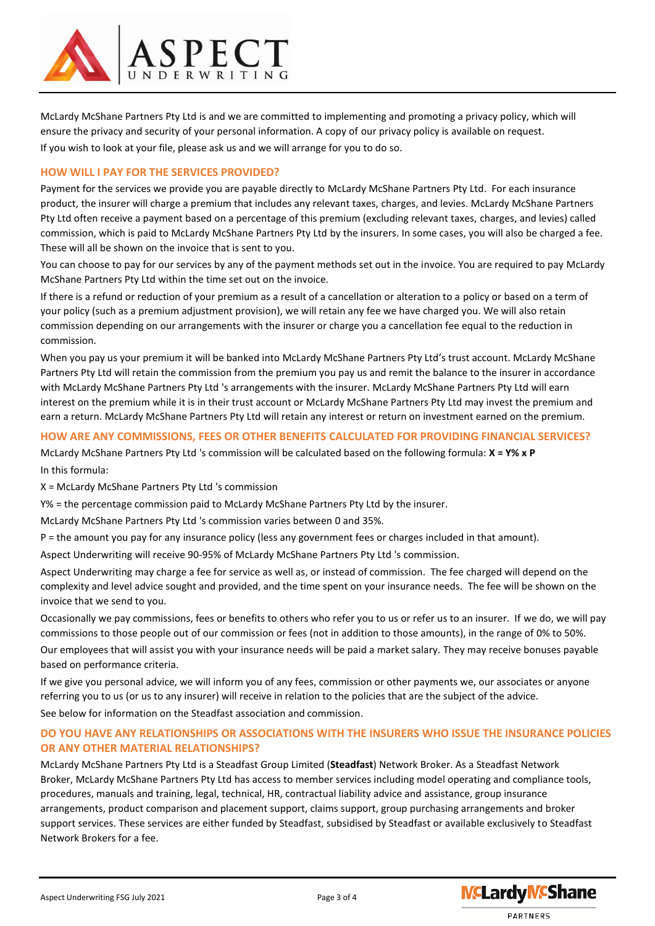

McLardy McShane Partners Pty Ltd is and we are committed to implementing and promoting a privacy policy, which will ensure the privacy and security of your personal information. A copy of our privacy policy is available on request. If you wish to look at your file, please ask us and we will arrange for you to do so.

## **HOW WILL I PAY FOR THE SERVICES PROVIDED?**

Payment for the services we provide you are payable directly to McLardy McShane Partners Pty Ltd. For each insurance product, the insurer will charge a premium that includes any relevant taxes, charges, and levies. McLardy McShane Partners Pty Ltd often receive a payment based on a percentage of this premium (excluding relevant taxes, charges, and levies) called commission, which is paid to McLardy McShane Partners Pty Ltd by the insurers. In some cases, you will also be charged a fee. These will all be shown on the invoice that is sent to you.

You can choose to pay for our services by any of the payment methods set out in the invoice. You are required to pay McLardy McShane Partners Pty Ltd within the time set out on the invoice.

If there is a refund or reduction of your premium as a result of a cancellation or alteration to a policy or based on a term of your policy (such as a premium adjustment provision), we will retain any fee we have charged you. We will also retain commission depending on our arrangements with the insurer or charge you a cancellation fee equal to the reduction in commission.

When you pay us your premium it will be banked into McLardy McShane Partners Pty Ltd's trust account. McLardy McShane Partners Pty Ltd will retain the commission from the premium you pay us and remit the balance to the insurer in accordance with McLardy McShane Partners Pty Ltd 's arrangements with the insurer. McLardy McShane Partners Pty Ltd will earn interest on the premium while it is in their trust account or McLardy McShane Partners Pty Ltd may invest the premium and earn a return. McLardy McShane Partners Pty Ltd will retain any interest or return on investment earned on the premium.

## **HOW ARE ANY COMMISSIONS, FEES OR OTHER BENEFITS CALCULATED FOR PROVIDING FINANCIAL SERVICES?**

McLardy McShane Partners Pty Ltd 's commission will be calculated based on the following formula: **X = Y% x P**  In this formula:

X = McLardy McShane Partners Pty Ltd 's commission

Y% = the percentage commission paid to McLardy McShane Partners Pty Ltd by the insurer.

McLardy McShane Partners Pty Ltd 's commission varies between 0 and 35%.

P = the amount you pay for any insurance policy (less any government fees or charges included in that amount).

Aspect Underwriting will receive 90-95% of McLardy McShane Partners Pty Ltd 's commission.

Aspect Underwriting may charge a fee for service as well as, or instead of commission. The fee charged will depend on the complexity and level advice sought and provided, and the time spent on your insurance needs. The fee will be shown on the invoice that we send to you.

Occasionally we pay commissions, fees or benefits to others who refer you to us or refer us to an insurer. If we do, we will pay commissions to those people out of our commission or fees (not in addition to those amounts), in the range of 0% to 50%. Our employees that will assist you with your insurance needs will be paid a market salary. They may receive bonuses payable

based on performance criteria.

If we give you personal advice, we will inform you of any fees, commission or other payments we, our associates or anyone referring you to us (or us to any insurer) will receive in relation to the policies that are the subject of the advice. See below for information on the Steadfast association and commission.

# **DO YOU HAVE ANY RELATIONSHIPS OR ASSOCIATIONS WITH THE INSURERS WHO ISSUE THE INSURANCE POLICIES OR ANY OTHER MATERIAL RELATIONSHIPS?**

McLardy McShane Partners Pty Ltd is a Steadfast Group Limited (**Steadfast**) Network Broker. As a Steadfast Network Broker, McLardy McShane Partners Pty Ltd has access to member services including model operating and compliance tools, procedures, manuals and training, legal, technical, HR, contractual liability advice and assistance, group insurance arrangements, product comparison and placement support, claims support, group purchasing arrangements and broker support services. These services are either funded by Steadfast, subsidised by Steadfast or available exclusively to Steadfast Network Brokers for a fee.